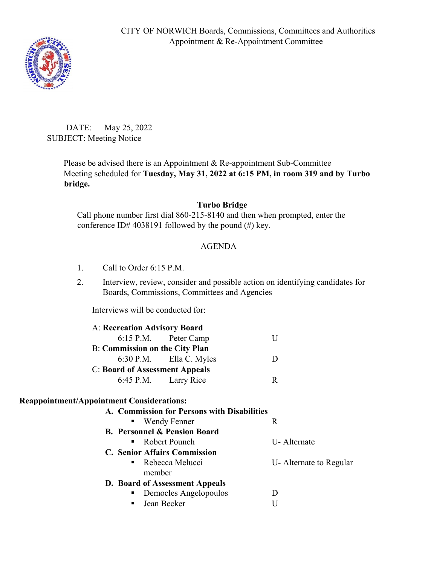

DATE: May 25, 2022 SUBJECT: Meeting Notice

> Please be advised there is an Appointment & Re-appointment Sub-Committee Meeting scheduled for **Tuesday, May 31, 2022 at 6:15 PM, in room 319 and by Turbo bridge.**

## **Turbo Bridge**

Call phone number first dial 860-215-8140 and then when prompted, enter the conference ID# 4038191 followed by the pound  $(\#)$  key.

## AGENDA

- 1. Call to Order 6:15 P.M.
- 2. Interview, review, consider and possible action on identifying candidates for Boards, Commissions, Committees and Agencies

Interviews will be conducted for:

| A: Recreation Advisory Board          |                           |   |
|---------------------------------------|---------------------------|---|
|                                       | 6:15 P.M. Peter Camp      |   |
| <b>B:</b> Commission on the City Plan |                           |   |
|                                       | $6:30$ P.M. Ella C. Myles |   |
| <b>C: Board of Assessment Appeals</b> |                           |   |
|                                       | 6:45 P.M. Larry Rice      | R |

## **Reappointment/Appointment Considerations:**

| A. Commission for Persons with Disabilities |                        |
|---------------------------------------------|------------------------|
| • Wendy Fenner                              | R                      |
| <b>B. Personnel &amp; Pension Board</b>     |                        |
| $\blacksquare$ Robert Pounch                | U-Alternate            |
| <b>C. Senior Affairs Commission</b>         |                        |
| • Rebecca Melucci                           | U-Alternate to Regular |
| member                                      |                        |
| D. Board of Assessment Appeals              |                        |
| Democles Angelopoulos<br>$\blacksquare$ .   |                        |
| Jean Becker<br>$\blacksquare$ .             |                        |